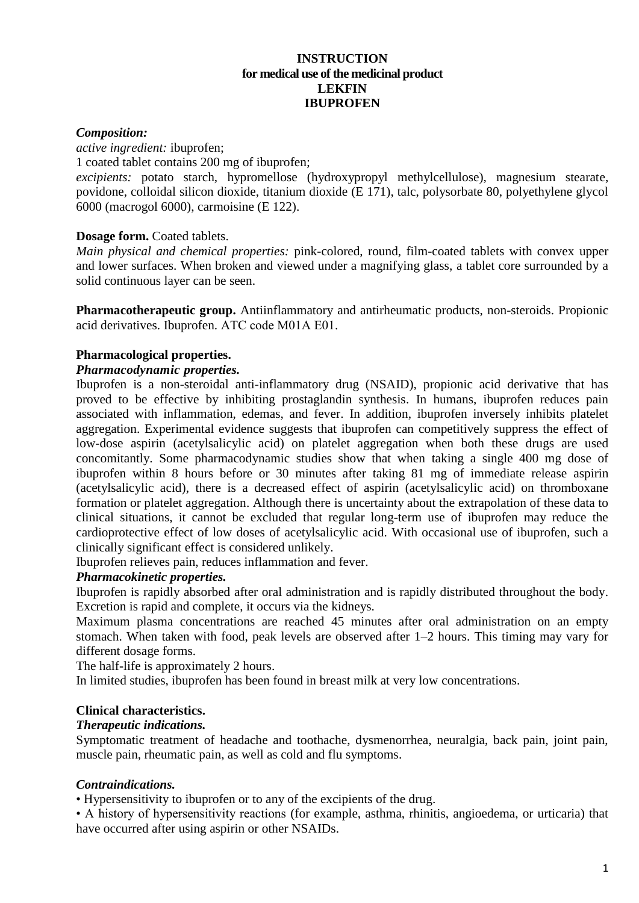#### **INSTRUCTION for medical use of the medicinal product LEKFIN IBUPROFEN**

#### *Composition:*

*active ingredient:* ibuprofen; 1 coated tablet contains 200 mg of ibuprofen;

*excipients:* potato starch, hypromellose (hydroxypropyl methylcellulose), magnesium stearate, povidone, colloidal silicon dioxide, titanium dioxide (E 171), talc, polysorbate 80, polyethylene glycol 6000 (macrogol 6000), carmoisine (E 122).

# **Dosage form.** Coated tablets.

*Main physical and chemical properties:* pink-colored, round, film-coated tablets with convex upper and lower surfaces. When broken and viewed under a magnifying glass, a tablet core surrounded by a solid continuous layer can be seen.

**Pharmacotherapeutic group.** Antiinflammatory and antirheumatic products, non-steroids. Propionic acid derivatives. Ibuprofen. АТС code М01А Е01.

# **Pharmacological properties.**

# *Pharmacodynamic properties.*

Ibuprofen is a non-steroidal anti-inflammatory drug (NSAID), propionic acid derivative that has proved to be effective by inhibiting prostaglandin synthesis. In humans, ibuprofen reduces pain associated with inflammation, edemas, and fever. In addition, ibuprofen inversely inhibits platelet aggregation. Experimental evidence suggests that ibuprofen can competitively suppress the effect of low-dose aspirin (acetylsalicylic acid) on platelet aggregation when both these drugs are used concomitantly. Some pharmacodynamic studies show that when taking a single 400 mg dose of ibuprofen within 8 hours before or 30 minutes after taking 81 mg of immediate release aspirin (acetylsalicylic acid), there is a decreased effect of aspirin (acetylsalicylic acid) on thromboxane formation or platelet aggregation. Although there is uncertainty about the extrapolation of these data to clinical situations, it cannot be excluded that regular long-term use of ibuprofen may reduce the cardioprotective effect of low doses of acetylsalicylic acid. With occasional use of ibuprofen, such a clinically significant effect is considered unlikely.

Ibuprofen relieves pain, reduces inflammation and fever.

# *Pharmacokinetic properties.*

Ibuprofen is rapidly absorbed after oral administration and is rapidly distributed throughout the body. Excretion is rapid and complete, it occurs via the kidneys.

Maximum plasma concentrations are reached 45 minutes after oral administration on an empty stomach. When taken with food, peak levels are observed after 1–2 hours. This timing may vary for different dosage forms.

The half-life is approximately 2 hours.

In limited studies, ibuprofen has been found in breast milk at very low concentrations.

# **Clinical characteristics.**

#### *Therapeutic indications.*

Symptomatic treatment of headache and toothache, dysmenorrhea, neuralgia, back pain, joint pain, muscle pain, rheumatic pain, as well as cold and flu symptoms.

# *Contraindications.*

• Hypersensitivity to ibuprofen or to any of the excipients of the drug.

• A history of hypersensitivity reactions (for example, asthma, rhinitis, angioedema, or urticaria) that have occurred after using aspirin or other NSAIDs.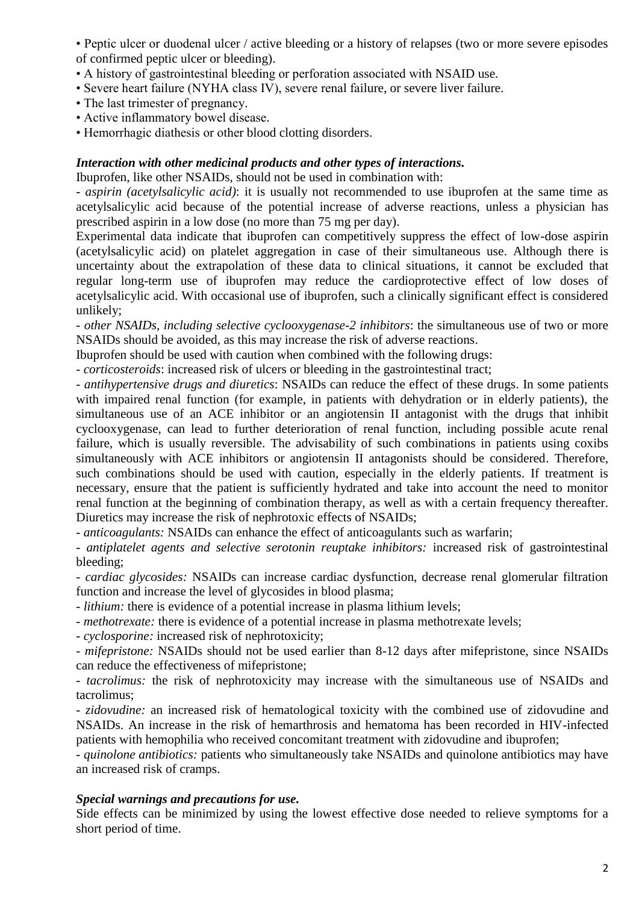• Peptic ulcer or duodenal ulcer / active bleeding or a history of relapses (two or more severe episodes of confirmed peptic ulcer or bleeding).

- A history of gastrointestinal bleeding or perforation associated with NSAID use.
- Severe heart failure (NYHA class IV), severe renal failure, or severe liver failure.
- The last trimester of pregnancy.
- Active inflammatory bowel disease.
- Hemorrhagic diathesis or other blood clotting disorders.

#### *Interaction with other medicinal products and other types of interactions.*

Ibuprofen, like other NSAIDs, should not be used in combination with:

- *aspirin (acetylsalicylic acid)*: it is usually not recommended to use ibuprofen at the same time as acetylsalicylic acid because of the potential increase of adverse reactions, unless a physician has prescribed aspirin in a low dose (no more than 75 mg per day).

Experimental data indicate that ibuprofen can competitively suppress the effect of low-dose aspirin (acetylsalicylic acid) on platelet aggregation in case of their simultaneous use. Although there is uncertainty about the extrapolation of these data to clinical situations, it cannot be excluded that regular long-term use of ibuprofen may reduce the cardioprotective effect of low doses of acetylsalicylic acid. With occasional use of ibuprofen, such a clinically significant effect is considered unlikely;

- *other NSAIDs, including selective cyclooxygenase-2 inhibitors*: the simultaneous use of two or more NSAIDs should be avoided, as this may increase the risk of adverse reactions.

Ibuprofen should be used with caution when combined with the following drugs:

- *corticosteroids*: increased risk of ulcers or bleeding in the gastrointestinal tract;

- *antihypertensive drugs and diuretics*: NSAIDs can reduce the effect of these drugs. In some patients with impaired renal function (for example, in patients with dehydration or in elderly patients), the simultaneous use of an ACE inhibitor or an angiotensin II antagonist with the drugs that inhibit cyclooxygenase, can lead to further deterioration of renal function, including possible acute renal failure, which is usually reversible. The advisability of such combinations in patients using coxibs simultaneously with ACE inhibitors or angiotensin II antagonists should be considered. Therefore, such combinations should be used with caution, especially in the elderly patients. If treatment is necessary, ensure that the patient is sufficiently hydrated and take into account the need to monitor renal function at the beginning of combination therapy, as well as with a certain frequency thereafter. Diuretics may increase the risk of nephrotoxic effects of NSAIDs;

- *anticoagulants:* NSAIDs can enhance the effect of anticoagulants such as warfarin;

- *antiplatelet agents and selective serotonin reuptake inhibitors:* increased risk of gastrointestinal bleeding;

- *cardiac glycosides:* NSAIDs can increase cardiac dysfunction, decrease renal glomerular filtration function and increase the level of glycosides in blood plasma;

- *lithium:* there is evidence of a potential increase in plasma lithium levels;

- *methotrexate:* there is evidence of a potential increase in plasma methotrexate levels;

- *cyclosporine:* increased risk of nephrotoxicity;

- *mifepristone:* NSAIDs should not be used earlier than 8-12 days after mifepristone, since NSAIDs can reduce the effectiveness of mifepristone;

- *tacrolimus:* the risk of nephrotoxicity may increase with the simultaneous use of NSAIDs and tacrolimus;

- *zidovudine:* an increased risk of hematological toxicity with the combined use of zidovudine and NSAIDs. An increase in the risk of hemarthrosis and hematoma has been recorded in HIV-infected patients with hemophilia who received concomitant treatment with zidovudine and ibuprofen;

- *quinolone antibiotics:* patients who simultaneously take NSAIDs and quinolone antibiotics may have an increased risk of cramps.

# *Special warnings and precautions for use.*

Side effects can be minimized by using the lowest effective dose needed to relieve symptoms for a short period of time.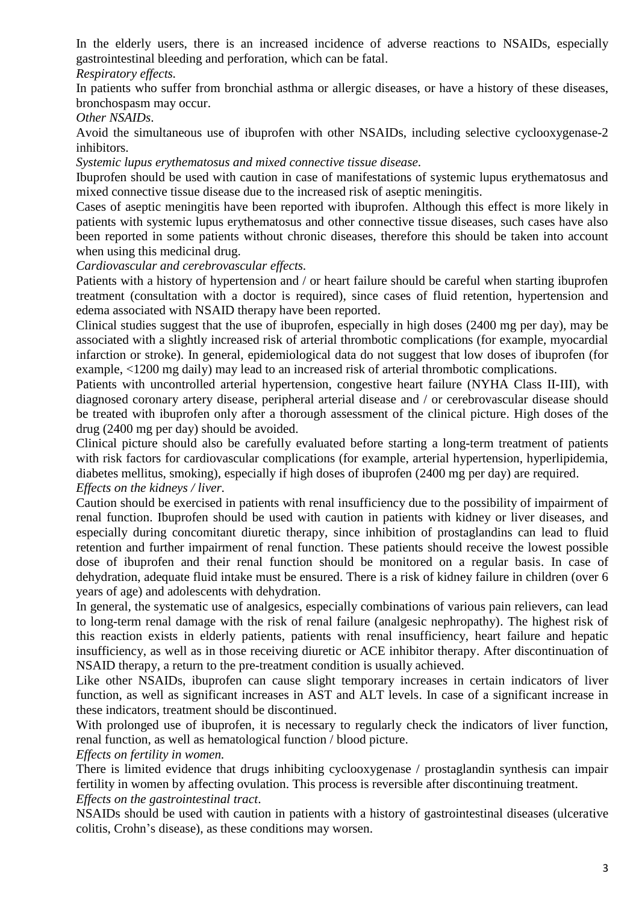In the elderly users, there is an increased incidence of adverse reactions to NSAIDs, especially gastrointestinal bleeding and perforation, which can be fatal.

*Respiratory effects.* 

In patients who suffer from bronchial asthma or allergic diseases, or have a history of these diseases, bronchospasm may occur.

*Other NSAIDs*.

Avoid the simultaneous use of ibuprofen with other NSAIDs, including selective cyclooxygenase-2 inhibitors.

*Systemic lupus erythematosus and mixed connective tissue disease.*

Ibuprofen should be used with caution in case of manifestations of systemic lupus erythematosus and mixed connective tissue disease due to the increased risk of aseptic meningitis.

Cases of aseptic meningitis have been reported with ibuprofen. Although this effect is more likely in patients with systemic lupus erythematosus and other connective tissue diseases, such cases have also been reported in some patients without chronic diseases, therefore this should be taken into account when using this medicinal drug.

*Cardiovascular and cerebrovascular effects.*

Patients with a history of hypertension and / or heart failure should be careful when starting ibuprofen treatment (consultation with a doctor is required), since cases of fluid retention, hypertension and edema associated with NSAID therapy have been reported.

Clinical studies suggest that the use of ibuprofen, especially in high doses (2400 mg per day), may be associated with a slightly increased risk of arterial thrombotic complications (for example, myocardial infarction or stroke). In general, epidemiological data do not suggest that low doses of ibuprofen (for example, <1200 mg daily) may lead to an increased risk of arterial thrombotic complications.

Patients with uncontrolled arterial hypertension, congestive heart failure (NYHA Class II-III), with diagnosed coronary artery disease, peripheral arterial disease and / or cerebrovascular disease should be treated with ibuprofen only after a thorough assessment of the clinical picture. High doses of the drug (2400 mg per day) should be avoided.

Clinical picture should also be carefully evaluated before starting a long-term treatment of patients with risk factors for cardiovascular complications (for example, arterial hypertension, hyperlipidemia, diabetes mellitus, smoking), especially if high doses of ibuprofen (2400 mg per day) are required. *Effects on the kidneys / liver.*

Caution should be exercised in patients with renal insufficiency due to the possibility of impairment of renal function. Ibuprofen should be used with caution in patients with kidney or liver diseases, and especially during concomitant diuretic therapy, since inhibition of prostaglandins can lead to fluid retention and further impairment of renal function. These patients should receive the lowest possible dose of ibuprofen and their renal function should be monitored on a regular basis. In case of dehydration, adequate fluid intake must be ensured. There is a risk of kidney failure in children (over 6 years of age) and adolescents with dehydration.

In general, the systematic use of analgesics, especially combinations of various pain relievers, can lead to long-term renal damage with the risk of renal failure (analgesic nephropathy). The highest risk of this reaction exists in elderly patients, patients with renal insufficiency, heart failure and hepatic insufficiency, as well as in those receiving diuretic or ACE inhibitor therapy. After discontinuation of NSAID therapy, a return to the pre-treatment condition is usually achieved.

Like other NSAIDs, ibuprofen can cause slight temporary increases in certain indicators of liver function, as well as significant increases in AST and ALT levels. In case of a significant increase in these indicators, treatment should be discontinued.

With prolonged use of ibuprofen, it is necessary to regularly check the indicators of liver function, renal function, as well as hematological function / blood picture.

*Effects on fertility in women.*

There is limited evidence that drugs inhibiting cyclooxygenase / prostaglandin synthesis can impair fertility in women by affecting ovulation. This process is reversible after discontinuing treatment. *Effects on the gastrointestinal tract*.

NSAIDs should be used with caution in patients with a history of gastrointestinal diseases (ulcerative colitis, Crohn's disease), as these conditions may worsen.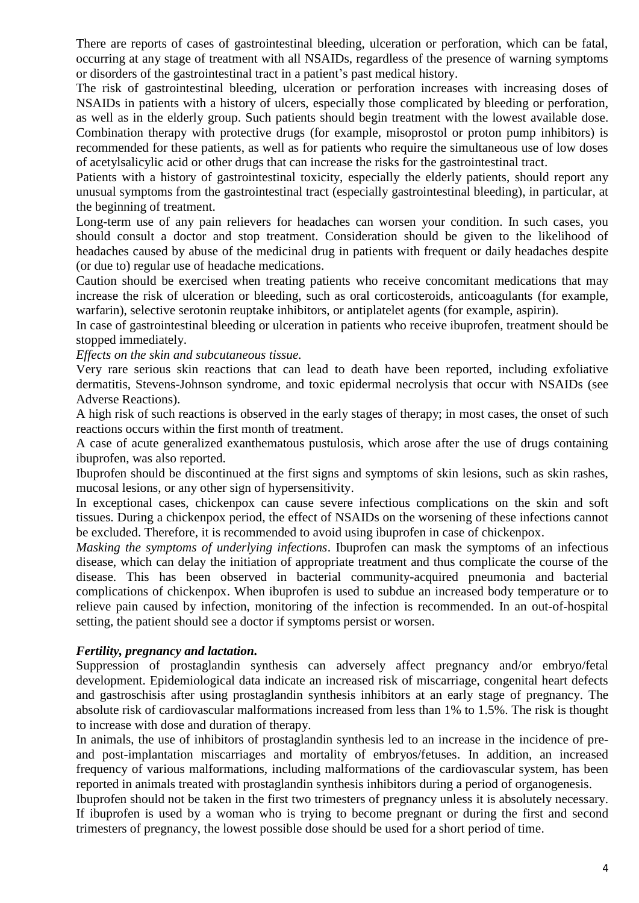There are reports of cases of gastrointestinal bleeding, ulceration or perforation, which can be fatal, occurring at any stage of treatment with all NSAIDs, regardless of the presence of warning symptoms or disorders of the gastrointestinal tract in a patient's past medical history.

The risk of gastrointestinal bleeding, ulceration or perforation increases with increasing doses of NSAIDs in patients with a history of ulcers, especially those complicated by bleeding or perforation, as well as in the elderly group. Such patients should begin treatment with the lowest available dose. Combination therapy with protective drugs (for example, misoprostol or proton pump inhibitors) is recommended for these patients, as well as for patients who require the simultaneous use of low doses of acetylsalicylic acid or other drugs that can increase the risks for the gastrointestinal tract.

Patients with a history of gastrointestinal toxicity, especially the elderly patients, should report any unusual symptoms from the gastrointestinal tract (especially gastrointestinal bleeding), in particular, at the beginning of treatment.

Long-term use of any pain relievers for headaches can worsen your condition. In such cases, you should consult a doctor and stop treatment. Consideration should be given to the likelihood of headaches caused by abuse of the medicinal drug in patients with frequent or daily headaches despite (or due to) regular use of headache medications.

Caution should be exercised when treating patients who receive concomitant medications that may increase the risk of ulceration or bleeding, such as oral corticosteroids, anticoagulants (for example, warfarin), selective serotonin reuptake inhibitors, or antiplatelet agents (for example, aspirin).

In case of gastrointestinal bleeding or ulceration in patients who receive ibuprofen, treatment should be stopped immediately.

*Effects on the skin and subcutaneous tissue.*

Very rare serious skin reactions that can lead to death have been reported, including exfoliative dermatitis, Stevens-Johnson syndrome, and toxic epidermal necrolysis that occur with NSAIDs (see Adverse Reactions).

A high risk of such reactions is observed in the early stages of therapy; in most cases, the onset of such reactions occurs within the first month of treatment.

A case of acute generalized exanthematous pustulosis, which arose after the use of drugs containing ibuprofen, was also reported.

Ibuprofen should be discontinued at the first signs and symptoms of skin lesions, such as skin rashes, mucosal lesions, or any other sign of hypersensitivity.

In exceptional cases, chickenpox can cause severe infectious complications on the skin and soft tissues. During a chickenpox period, the effect of NSAIDs on the worsening of these infections cannot be excluded. Therefore, it is recommended to avoid using ibuprofen in case of chickenpox.

*Masking the symptoms of underlying infections*. Ibuprofen can mask the symptoms of an infectious disease, which can delay the initiation of appropriate treatment and thus complicate the course of the disease. This has been observed in bacterial community-acquired pneumonia and bacterial complications of chickenpox. When ibuprofen is used to subdue an increased body temperature or to relieve pain caused by infection, monitoring of the infection is recommended. In an out-of-hospital setting, the patient should see a doctor if symptoms persist or worsen.

# *Fertility, pregnancy and lactation.*

Suppression of prostaglandin synthesis can adversely affect pregnancy and/or embryo/fetal development. Epidemiological data indicate an increased risk of miscarriage, congenital heart defects and gastroschisis after using prostaglandin synthesis inhibitors at an early stage of pregnancy. The absolute risk of cardiovascular malformations increased from less than 1% to 1.5%. The risk is thought to increase with dose and duration of therapy.

In animals, the use of inhibitors of prostaglandin synthesis led to an increase in the incidence of preand post-implantation miscarriages and mortality of embryos/fetuses. In addition, an increased frequency of various malformations, including malformations of the cardiovascular system, has been reported in animals treated with prostaglandin synthesis inhibitors during a period of organogenesis.

Ibuprofen should not be taken in the first two trimesters of pregnancy unless it is absolutely necessary. If ibuprofen is used by a woman who is trying to become pregnant or during the first and second trimesters of pregnancy, the lowest possible dose should be used for a short period of time.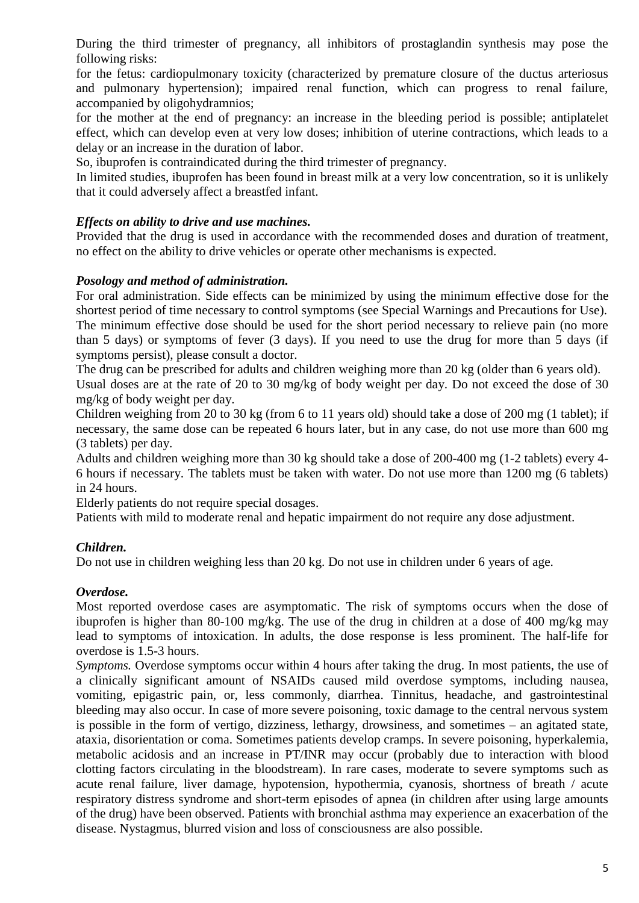During the third trimester of pregnancy, all inhibitors of prostaglandin synthesis may pose the following risks:

for the fetus: cardiopulmonary toxicity (characterized by premature closure of the ductus arteriosus and pulmonary hypertension); impaired renal function, which can progress to renal failure, accompanied by oligohydramnios;

for the mother at the end of pregnancy: an increase in the bleeding period is possible; antiplatelet effect, which can develop even at very low doses; inhibition of uterine contractions, which leads to a delay or an increase in the duration of labor.

So, ibuprofen is contraindicated during the third trimester of pregnancy.

In limited studies, ibuprofen has been found in breast milk at a very low concentration, so it is unlikely that it could adversely affect a breastfed infant.

# *Effects on ability to drive and use machines.*

Provided that the drug is used in accordance with the recommended doses and duration of treatment, no effect on the ability to drive vehicles or operate other mechanisms is expected.

# *Posology and method of administration.*

For oral administration. Side effects can be minimized by using the minimum effective dose for the shortest period of time necessary to control symptoms (see Special Warnings and Precautions for Use). The minimum effective dose should be used for the short period necessary to relieve pain (no more than 5 days) or symptoms of fever (3 days). If you need to use the drug for more than 5 days (if symptoms persist), please consult a doctor.

The drug can be prescribed for adults and children weighing more than 20 kg (older than 6 years old). Usual doses are at the rate of 20 to 30 mg/kg of body weight per day. Do not exceed the dose of 30 mg/kg of body weight per day.

Children weighing from 20 to 30 kg (from 6 to 11 years old) should take a dose of 200 mg (1 tablet); if necessary, the same dose can be repeated 6 hours later, but in any case, do not use more than 600 mg (3 tablets) per day.

Adults and children weighing more than 30 kg should take a dose of 200-400 mg (1-2 tablets) every 4- 6 hours if necessary. The tablets must be taken with water. Do not use more than 1200 mg (6 tablets) in 24 hours.

Elderly patients do not require special dosages.

Patients with mild to moderate renal and hepatic impairment do not require any dose adjustment.

# *Children.*

Do not use in children weighing less than 20 kg. Do not use in children under 6 years of age.

# *Overdose.*

Most reported overdose cases are asymptomatic. The risk of symptoms occurs when the dose of ibuprofen is higher than 80-100 mg/kg. The use of the drug in children at a dose of 400 mg/kg may lead to symptoms of intoxication. In adults, the dose response is less prominent. The half-life for overdose is 1.5-3 hours.

*Symptoms.* Overdose symptoms occur within 4 hours after taking the drug. In most patients, the use of a clinically significant amount of NSAIDs caused mild overdose symptoms, including nausea, vomiting, epigastric pain, or, less commonly, diarrhea. Tinnitus, headache, and gastrointestinal bleeding may also occur. In case of more severe poisoning, toxic damage to the central nervous system is possible in the form of vertigo, dizziness, lethargy, drowsiness, and sometimes – an agitated state, ataxia, disorientation or coma. Sometimes patients develop cramps. In severe poisoning, hyperkalemia, metabolic acidosis and an increase in PT/INR may occur (probably due to interaction with blood clotting factors circulating in the bloodstream). In rare cases, moderate to severe symptoms such as acute renal failure, liver damage, hypotension, hypothermia, cyanosis, shortness of breath / acute respiratory distress syndrome and short-term episodes of apnea (in children after using large amounts of the drug) have been observed. Patients with bronchial asthma may experience an exacerbation of the disease. Nystagmus, blurred vision and loss of consciousness are also possible.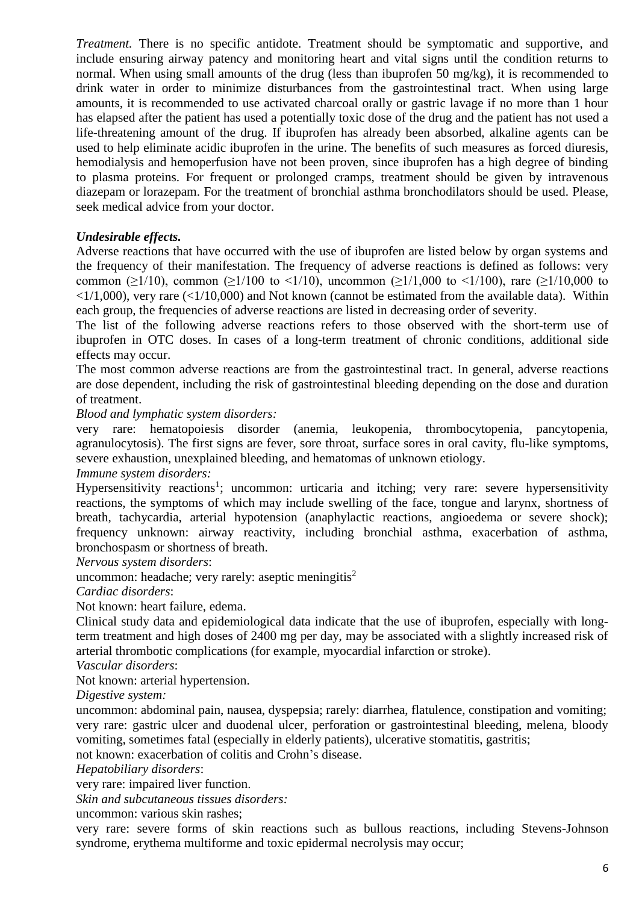*Treatment.* There is no specific antidote. Treatment should be symptomatic and supportive, and include ensuring airway patency and monitoring heart and vital signs until the condition returns to normal. When using small amounts of the drug (less than ibuprofen 50 mg/kg), it is recommended to drink water in order to minimize disturbances from the gastrointestinal tract. When using large amounts, it is recommended to use activated charcoal orally or gastric lavage if no more than 1 hour has elapsed after the patient has used a potentially toxic dose of the drug and the patient has not used a life-threatening amount of the drug. If ibuprofen has already been absorbed, alkaline agents can be used to help eliminate acidic ibuprofen in the urine. The benefits of such measures as forced diuresis, hemodialysis and hemoperfusion have not been proven, since ibuprofen has a high degree of binding to plasma proteins. For frequent or prolonged cramps, treatment should be given by intravenous diazepam or lorazepam. For the treatment of bronchial asthma bronchodilators should be used. Please, seek medical advice from your doctor.

# *Undesirable effects.*

Adverse reactions that have occurred with the use of ibuprofen are listed below by organ systems and the frequency of their manifestation. The frequency of adverse reactions is defined as follows: very common ( $\geq$ 1/10), common ( $\geq$ 1/100 to <1/10), uncommon ( $\geq$ 1/1,000 to <1/100), rare ( $\geq$ 1/10,000 to  $\langle 1/1,000 \rangle$ , very rare ( $\langle 1/10,000 \rangle$ ) and Not known (cannot be estimated from the available data). Within each group, the frequencies of adverse reactions are listed in decreasing order of severity.

The list of the following adverse reactions refers to those observed with the short-term use of ibuprofen in OTC doses. In cases of a long-term treatment of chronic conditions, additional side effects may occur.

The most common adverse reactions are from the gastrointestinal tract. In general, adverse reactions are dose dependent, including the risk of gastrointestinal bleeding depending on the dose and duration of treatment.

*Blood and lymphatic system disorders:* 

very rare: hematopoiesis disorder (anemia, leukopenia, thrombocytopenia, pancytopenia, agranulocytosis). The first signs are fever, sore throat, surface sores in oral cavity, flu-like symptoms, severe exhaustion, unexplained bleeding, and hematomas of unknown etiology.

#### *Immune system disorders:*

Hypersensitivity reactions<sup>1</sup>; uncommon: urticaria and itching; very rare: severe hypersensitivity reactions, the symptoms of which may include swelling of the face, tongue and larynx, shortness of breath, tachycardia, arterial hypotension (anaphylactic reactions, angioedema or severe shock); frequency unknown: airway reactivity, including bronchial asthma, exacerbation of asthma, bronchospasm or shortness of breath.

*Nervous system disorders*:

uncommon: headache; very rarely: aseptic meningitis<sup>2</sup>

*Cardiac disorders*:

Not known: heart failure, edema.

Clinical study data and epidemiological data indicate that the use of ibuprofen, especially with longterm treatment and high doses of 2400 mg per day, may be associated with a slightly increased risk of arterial thrombotic complications (for example, myocardial infarction or stroke).

#### *Vascular disorders*:

Not known: arterial hypertension.

*Digestive system:*

uncommon: abdominal pain, nausea, dyspepsia; rarely: diarrhea, flatulence, constipation and vomiting; very rare: gastric ulcer and duodenal ulcer, perforation or gastrointestinal bleeding, melena, bloody vomiting, sometimes fatal (especially in elderly patients), ulcerative stomatitis, gastritis;

not known: exacerbation of colitis and Crohn's disease.

*Hepatobiliary disorders*:

very rare: impaired liver function.

*Skin and subcutaneous tissues disorders:*

uncommon: various skin rashes;

very rare: severe forms of skin reactions such as bullous reactions, including Stevens-Johnson syndrome, erythema multiforme and toxic epidermal necrolysis may occur;